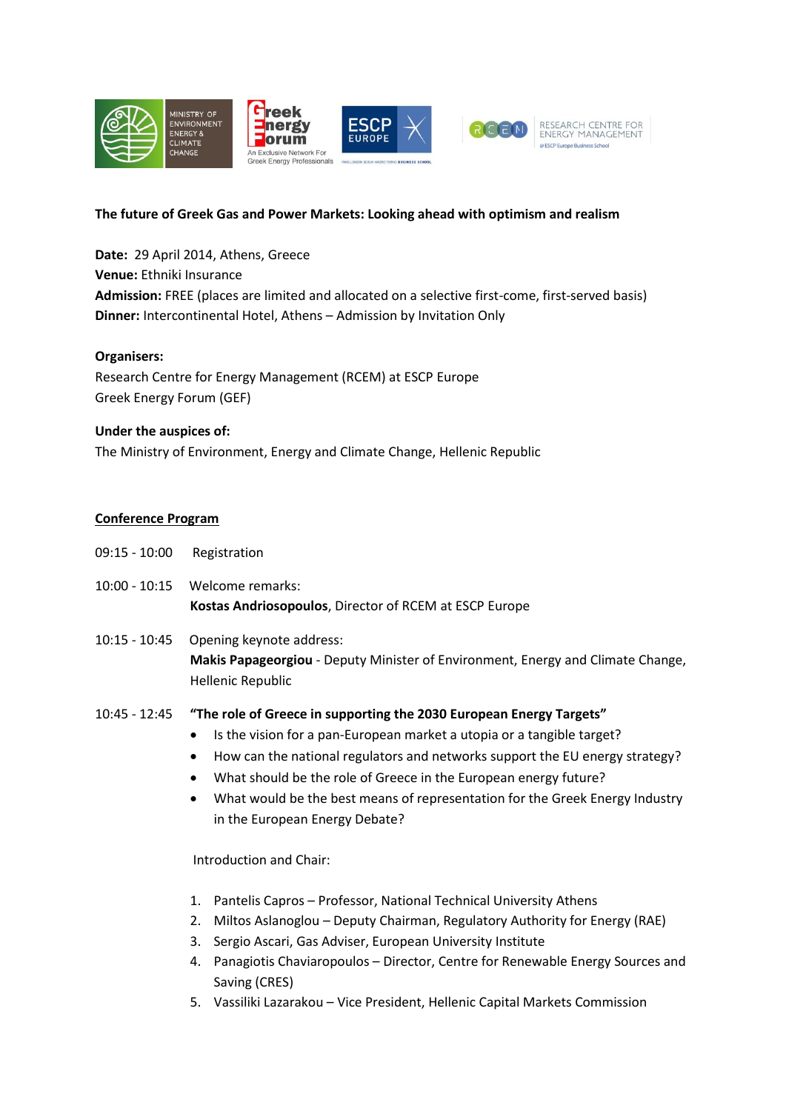

#### **The future of Greek Gas and Power Markets: Looking ahead with optimism and realism**

**Date:** 29 April 2014, Athens, Greece **Venue:** Ethniki Insurance **Admission:** FREE (places are limited and allocated on a selective first-come, first-served basis) **Dinner:** Intercontinental Hotel, Athens – Admission by Invitation Only

#### **Organisers:**

Research Centre for Energy Management (RCEM) at ESCP Europe Greek Energy Forum (GEF)

## **Under the auspices of:**

The Ministry of Environment, Energy and Climate Change, Hellenic Republic

## **Conference Program**

- 09:15 10:00 Registration
- 10:00 10:15 Welcome remarks: **Kostas Andriosopoulos**, Director of RCEM at ESCP Europe
- 10:15 10:45 Opening keynote address: **Makis Papageorgiou** - Deputy Minister of Environment, Energy and Climate Change, Hellenic Republic

# 10:45 - 12:45 **"The role of Greece in supporting the 2030 European Energy Targets"**

- Is the vision for a pan-European market a utopia or a tangible target?
- How can the national regulators and networks support the EU energy strategy?
- What should be the role of Greece in the European energy future?
- What would be the best means of representation for the Greek Energy Industry in the European Energy Debate?

## Introduction and Chair:

- 1. Pantelis Capros Professor, National Technical University Athens
- 2. Miltos Aslanoglou Deputy Chairman, Regulatory Authority for Energy (RAE)
- 3. Sergio Ascari, Gas Adviser, European University Institute
- 4. Panagiotis Chaviaropoulos Director, Centre for Renewable Energy Sources and Saving (CRES)
- 5. Vassiliki Lazarakou Vice President, Hellenic Capital Markets Commission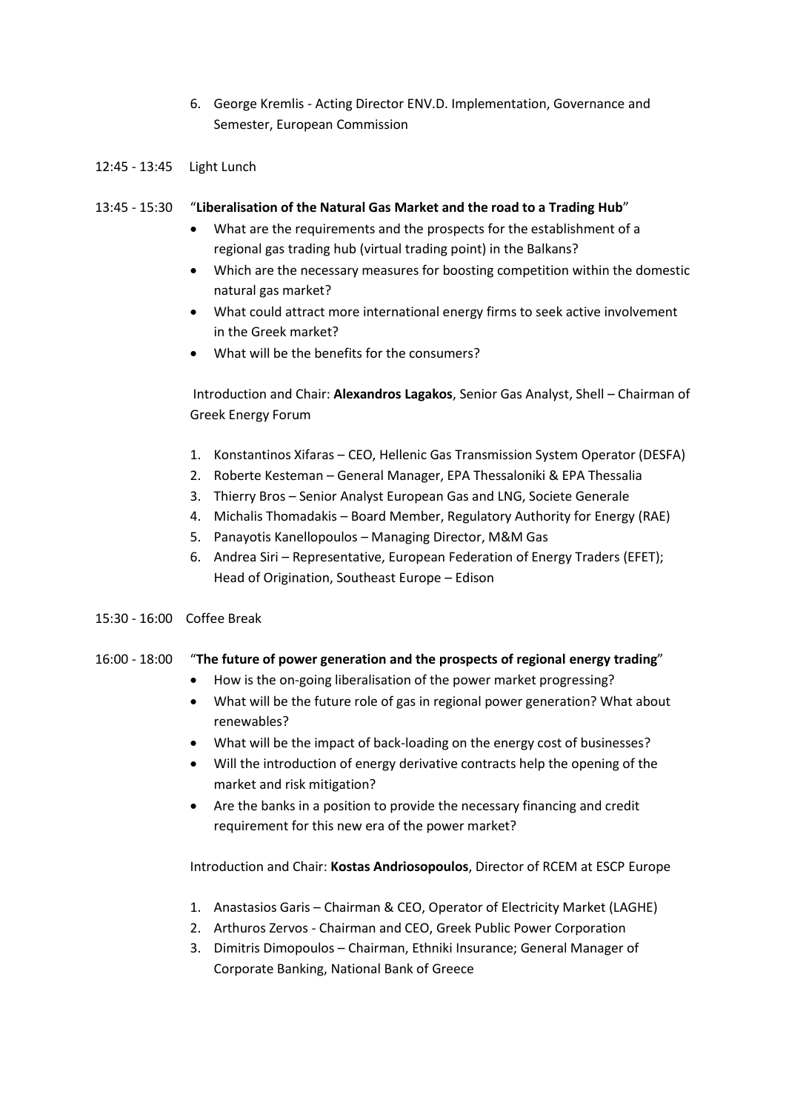6. George Kremlis - Acting Director ENV.D. Implementation, Governance and Semester, European Commission

## 12:45 - 13:45 Light Lunch

#### 13:45 - 15:30 "**Liberalisation of the Natural Gas Market and the road to a Trading Hub**"

- What are the requirements and the prospects for the establishment of a regional gas trading hub (virtual trading point) in the Balkans?
- Which are the necessary measures for boosting competition within the domestic natural gas market?
- What could attract more international energy firms to seek active involvement in the Greek market?
- What will be the benefits for the consumers?

Introduction and Chair: **Alexandros Lagakos**, Senior Gas Analyst, Shell – Chairman of Greek Energy Forum

- 1. Konstantinos Xifaras CEO, Hellenic Gas Transmission System Operator (DESFA)
- 2. Roberte Kesteman General Manager, EPA Thessaloniki & EPA Thessalia
- 3. Thierry Bros Senior Analyst European Gas and LNG, Societe Generale
- 4. Michalis Thomadakis Board Member, Regulatory Authority for Energy (RAE)
- 5. Panayotis Kanellopoulos Managing Director, M&M Gas
- 6. Andrea Siri Representative, European Federation of Energy Traders (EFET); Head of Origination, Southeast Europe – Edison
- 15:30 16:00 Coffee Break

# 16:00 - 18:00 "**The future of power generation and the prospects of regional energy trading**"

- How is the on-going liberalisation of the power market progressing?
- What will be the future role of gas in regional power generation? What about renewables?
- What will be the impact of back-loading on the energy cost of businesses?
- Will the introduction of energy derivative contracts help the opening of the market and risk mitigation?
- Are the banks in a position to provide the necessary financing and credit requirement for this new era of the power market?

Introduction and Chair: **Kostas Andriosopoulos**, Director of RCEM at ESCP Europe

- 1. Anastasios Garis Chairman & CEO, Operator of Electricity Market (LAGHE)
- 2. Arthuros Zervos Chairman and CEO, Greek Public Power Corporation
- 3. Dimitris Dimopoulos Chairman, Ethniki Insurance; General Manager of Corporate Banking, National Bank of Greece